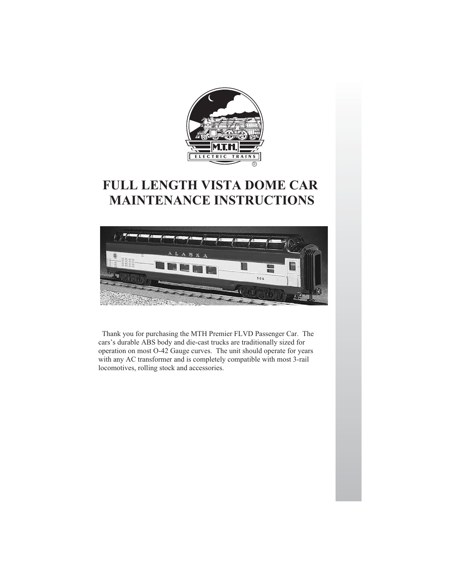

# **FULL LENGTH VISTA DOME CAR MAINTENANCE INSTRUCTIONS**



Thank you for purchasing the MTH Premier FLVD Passenger Car. The cars's durable ABS body and die-cast trucks are traditionally sized for operation on most O-42 Gauge curves. The unit should operate for years with any AC transformer and is completely compatible with most 3-rail locomotives, rolling stock and accessories.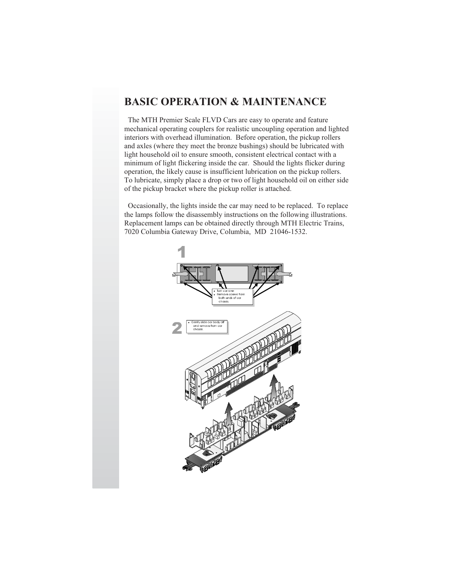# **BASIC OPERATION & MAINTENANCE**

The MTH Premier Scale FLVD Cars are easy to operate and feature mechanical operating couplers for realistic uncoupling operation and lighted interiors with overhead illumination. Before operation, the pickup rollers and axles (where they meet the bronze bushings) should be lubricated with light household oil to ensure smooth, consistent electrical contact with a minimum of light flickering inside the car. Should the lights flicker during operation, the likely cause is insufficient lubrication on the pickup rollers. To lubricate, simply place a drop or two of light household oil on either side of the pickup bracket where the pickup roller is attached.

Occasionally, the lights inside the car may need to be replaced. To replace the lamps follow the disassembly instructions on the following illustrations. Replacement lamps can be obtained directly through MTH Electric Trains, 7020 Columbia Gateway Drive, Columbia, MD 21046-1532.

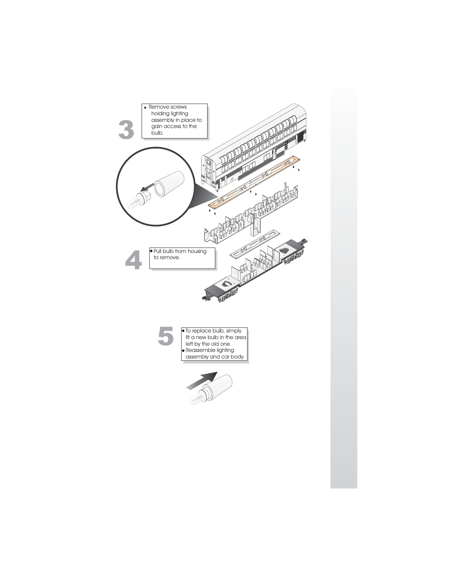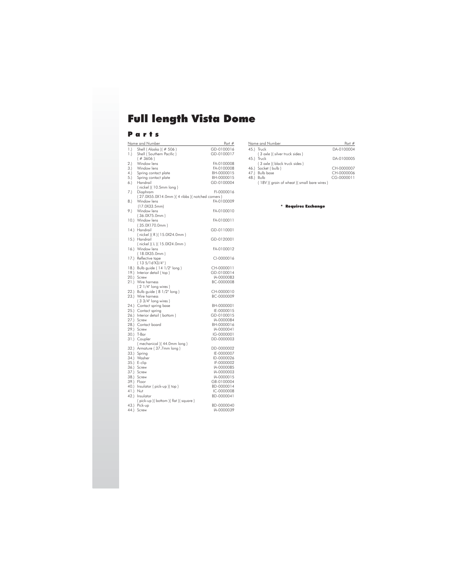# **Full length Vista Dome**<br>Parts

|          | <u>Name and Number</u>                          | Part #                   |
|----------|-------------------------------------------------|--------------------------|
| 1.1      | Shell (Alaska) (# 506)                          | GD-0100016               |
| 1.       | Shell (Southern Pacific)                        | GD-0100017               |
|          | $($ # 3606)                                     |                          |
| 2.1      | Window lens                                     | FA-0100008               |
| 3.       | Window lens                                     | FA-0100008               |
| 4.       | Spring contact plate                            | BH-0000015               |
| 5.       | Spring contact plate                            | BH-0000015               |
| 6.       | Handrail                                        | GD-0100004               |
|          | (nickel) (10.5mm long)                          |                          |
| 7.)      | Diaphram                                        | FI-0000016               |
|          | (27.0X55.0X14.0mm) (4 ribbs) (notched corners)  |                          |
| 8.)      | Window lens                                     | FA-0100009               |
|          | (17.0X33.5mm)                                   |                          |
| 9.)      | Window lens                                     | FA-0100010               |
|          | (36.0X75.0mm)                                   |                          |
| 10.      | Window lens                                     | FA-0100011               |
|          | (35.0X170.0mm)                                  |                          |
| 14.      | Handrail                                        | GD-0110001               |
|          | (nickel)(R)(15.0X24.0mm)                        |                          |
|          | 15.) Handrail                                   | GD-0120001               |
|          | (nickel)(L)(15.0X24.0mm)                        |                          |
| 16.)     | Window lens                                     | FA-0100012               |
|          | (18.0X35.0mm)                                   |                          |
|          | 17.) Reflective tape                            | CI-0000016               |
|          | $(135/16^{\circ}X3/4^{\circ})$                  |                          |
| 18.      | Bulb guide (14 1/2" long)                       | CH-0000011               |
|          | 19.) Interior detail (top)                      | GD-0100014               |
| 20.)     | Screw                                           | IA-0000083               |
| 21.      | Wire harness                                    | BC-0000008               |
|          | (2 1/4" long wires)                             |                          |
| 22.      | Bulb guide (8 1/2" long)<br>23.) Wire harness   | CH-0000010<br>BC-0000009 |
|          |                                                 |                          |
|          | (3 3/4" long wires)                             | BH-0000001               |
|          | 24.) Contact spring base<br>25.) Contact spring | IE-0000015               |
|          | 26.) Interior detail (bottom)                   | GD-0100015               |
|          | 27.) Screw                                      | IA-0000084               |
|          | 28.) Contact board                              | BH-0000016               |
|          | 29.) Screw                                      | IA-0000041               |
| 30.)     | T-Bar                                           | IG-0000001               |
|          | 31.) Coupler                                    | DD-0000003               |
|          | (mechanical) (44.0mm long)                      |                          |
|          | 32.) Armature (37.7mm long)                     | DD-0000002               |
|          | 33.) Spring                                     | IE-0000007               |
|          | 34.) Washer                                     | ID-0000026               |
|          | 35.) E-clip                                     | IF-0000002               |
|          | 36.) Screw                                      | IA-0000085               |
| 37.)     | Screw                                           | IA-0000003               |
|          | 38.) Screw                                      | IA-0000015               |
|          | 39.) Floor                                      | GB-0100004               |
|          | 40.) Insulator (pick-up) (top)                  | BD-0000014               |
| 41.) Nut |                                                 | IC-0000008               |
|          | 42.) Insulator                                  | BD-0000041               |
|          | (pick-up)(bottom)(flat)(square)                 |                          |
| 43.      | Pick-up                                         | BD-0000040               |
| 44.)     | Screw                                           | IA-0000039               |

| Name and Number |                                           | Part $#$   |
|-----------------|-------------------------------------------|------------|
| 45.1            | Truck                                     | DA-0100004 |
|                 | (3 axle) (silver truck sides)             |            |
| 45.1            | Truck                                     | DA-0100005 |
|                 | (3 axle) (black truck sides)              |            |
|                 | 46.) Socket (bulb)                        | CH-0000007 |
|                 | 47.) Bulb base                            | CH-0000006 |
| 48.1            | Bulb                                      | CG-0000011 |
|                 | (18V) (grain of wheat) (small bare wires) |            |

### \* Requires Exchange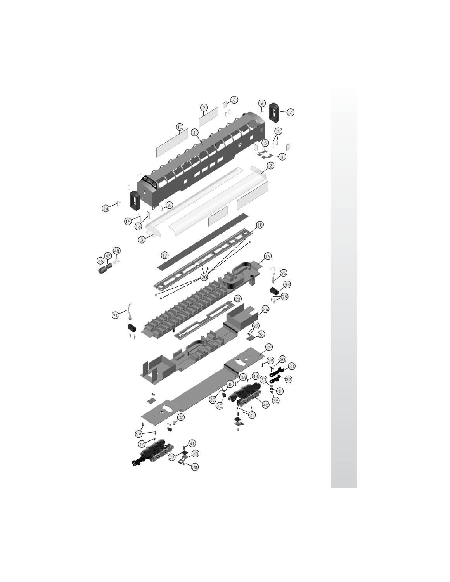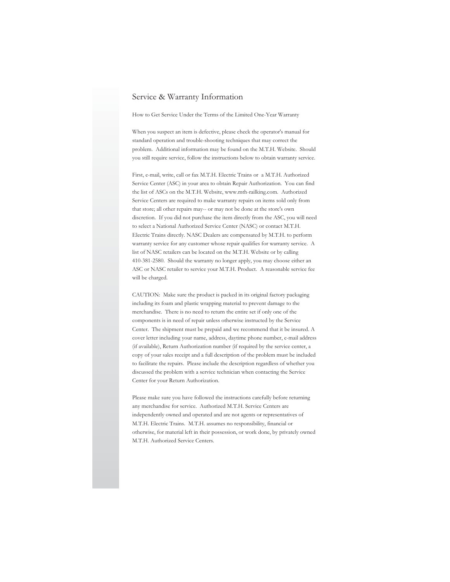## Service & Warranty Information

How to Get Service Under the Terms of the Limited One-Year Warranty

When you suspect an item is defective, please check the operator's manual for standard operation and trouble-shooting techniques that may correct the problem. Additional information may be found on the M.T.H. Website. Should you still require service, follow the instructions below to obtain warranty service.

First, e-mail, write, call or fax M.T.H. Electric Trains or a M.T.H. Authorized Service Center (ASC) in your area to obtain Repair Authorization. You can find the list of ASCs on the M.T.H. Website, www.mth-railking.com. Authorized Service Centers are required to make warranty repairs on items sold only from that store; all other repairs may-- or may not be done at the store's own discretion. If you did not purchase the item directly from the ASC, you will need to select a National Authorized Service Center (NASC) or contact M.T.H. Electric Trains directly. NASC Dealers are compensated by M.T.H. to perform warranty service for any customer whose repair qualifies for warranty service. A list of NASC retailers can be located on the M.T.H. Website or by calling 410-381-2580. Should the warranty no longer apply, you may choose either an ASC or NASC retailer to service your M.T.H. Product. A reasonable service fee will be charged.

CAUTION: Make sure the product is packed in its original factory packaging including its foam and plastic wrapping material to prevent damage to the merchandise. There is no need to return the entire set if only one of the components is in need of repair unless otherwise instructed by the Service Center. The shipment must be prepaid and we recommend that it be insured. A cover letter including your name, address, daytime phone number, e-mail address (if available), Return Authorization number (if required by the service center, a copy of your sales receipt and a full description of the problem must be included to facilitate the repairs. Please include the description regardless of whether you discussed the problem with a service technician when contacting the Service Center for your Return Authorization.

Please make sure you have followed the instructions carefully before returning any merchandise for service. Authorized M.T.H. Service Centers are independently owned and operated and are not agents or representatives of M.T.H. Electric Trains. M.T.H. assumes no responsibility, financial or otherwise, for material left in their possession, or work done, by privately owned M.T.H. Authorized Service Centers.